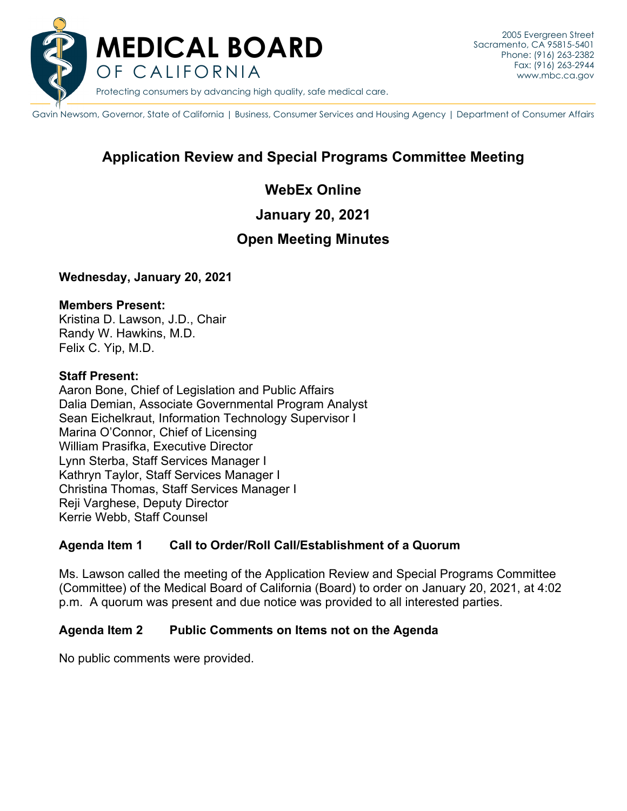

Gavin Newsom, Governor, State of California | Business, Consumer Services and Housing Agency | Department of Consumer Affairs

# **Application Review and Special Programs Committee Meeting**

## **WebEx Online**

**January 20, 2021** 

## **Open Meeting Minutes**

**Wednesday, January 20, 2021** 

#### **Members Present:**

Kristina D. Lawson, J.D., Chair Randy W. Hawkins, M.D. Felix C. Yip, M.D.

#### **Staff Present:**

Reji Varghese, Deputy Director<br>Kerrie Webb, Staff Counsel Aaron Bone, Chief of Legislation and Public Affairs Dalia Demian, Associate Governmental Program Analyst Sean Eichelkraut, Information Technology Supervisor I Marina O'Connor, Chief of Licensing William Prasifka, Executive Director Lynn Sterba, Staff Services Manager I Kathryn Taylor, Staff Services Manager I Christina Thomas, Staff Services Manager I

## **Agenda Item 1 Call to Order/Roll Call/Establishment of a Quorum**

Ms. Lawson called the meeting of the Application Review and Special Programs Committee (Committee) of the Medical Board of California (Board) to order on January 20, 2021, at 4:02 p.m. A quorum was present and due notice was provided to all interested parties.

#### **Agenda Item 2** Public Comments on Items not on the Agenda

No public comments were provided.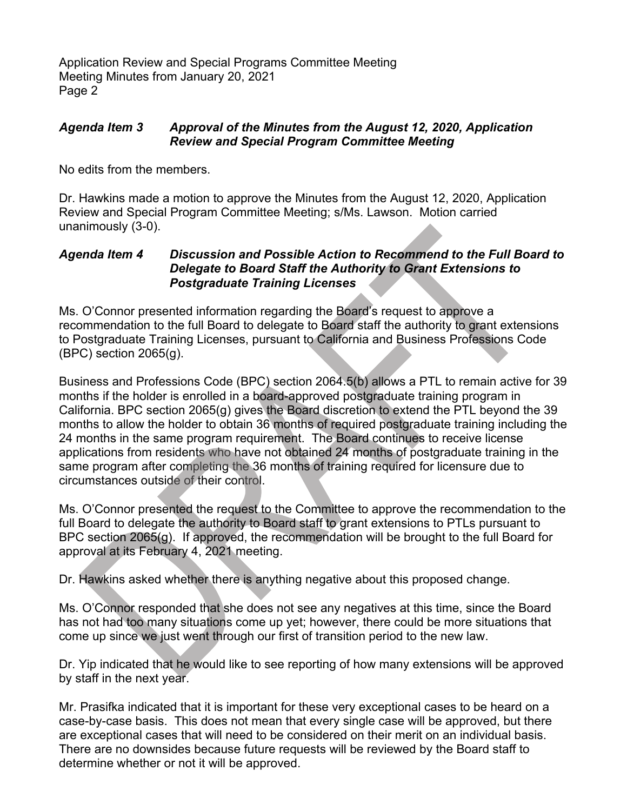Application Review and Special Programs Committee Meeting Meeting Minutes from January 20, 2021 Page 2

### *Agenda Item 3 Approval of the Minutes from the August 12, 2020, Application Review and Special Program Committee Meeting*

No edits from the members.

Dr. Hawkins made a motion to approve the Minutes from the August 12, 2020, Application Review and Special Program Committee Meeting; s/Ms. Lawson. Motion carried unanimously (3-0).

#### *Agenda Item 4 Discussion and Possible Action to Recommend to the Full Board to Delegate to Board Staff the Authority to Grant Extensions to Postgraduate Training Licenses*

Ms. O'Connor presented information regarding the Board's request to approve a recommendation to the full Board to delegate to Board staff the authority to grant extensions to Postgraduate Training Licenses, pursuant to California and Business Professions Code (BPC) section 2065(g).

Business and Professions Code (BPC) section 2064.5(b) allows a PTL to remain active for 39 months if the holder is enrolled in a board-approved postgraduate training program in California. BPC section 2065(g) gives the Board discretion to extend the PTL beyond the 39 months to allow the holder to obtain 36 months of required postgraduate training including the 24 months in the same program requirement. The Board continues to receive license applications from residents who have not obtained 24 months of postgraduate training in the same program after completing the 36 months of training required for licensure due to circumstances outside of their control.

Ms. O'Connor presented the request to the Committee to approve the recommendation to the full Board to delegate the authority to Board staff to grant extensions to PTLs pursuant to BPC section 2065(g). If approved, the recommendation will be brought to the full Board for approval at its February 4, 2021 meeting.

Dr. Hawkins asked whether there is anything negative about this proposed change.

Ms. O'Connor responded that she does not see any negatives at this time, since the Board has not had too many situations come up yet; however, there could be more situations that come up since we just went through our first of transition period to the new law.

Dr. Yip indicated that he would like to see reporting of how many extensions will be approved by staff in the next year.

 case-by-case basis. This does not mean that every single case will be approved, but there Mr. Prasifka indicated that it is important for these very exceptional cases to be heard on a are exceptional cases that will need to be considered on their merit on an individual basis. There are no downsides because future requests will be reviewed by the Board staff to determine whether or not it will be approved.